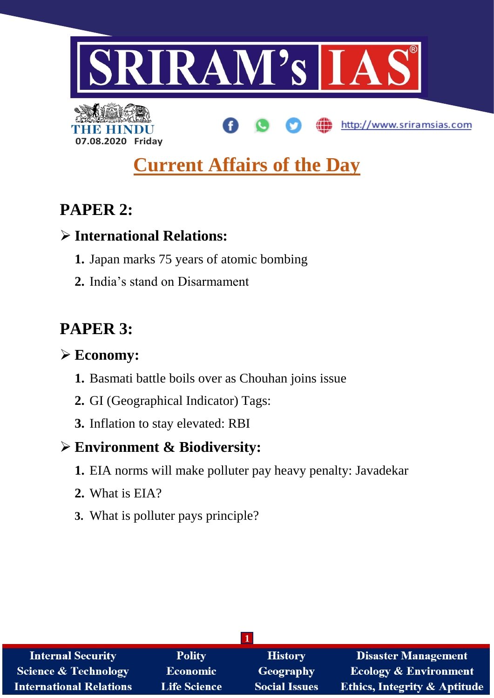

# **Current Affairs of the Day**

# **PAPER 2:**

**07.08.2020 Friday**

## **International Relations:**

- **1.** Japan marks 75 years of atomic bombing
- **2.** India's stand on Disarmament

# **PAPER 3:**

## **Economy:**

- **1.** Basmati battle boils over as Chouhan joins issue
- **2.** GI (Geographical Indicator) Tags:
- **3.** Inflation to stay elevated: RBI

## **Environment & Biodiversity:**

- **1.** EIA norms will make polluter pay heavy penalty: Javadekar
- **2.** What is EIA?
- **3.** What is polluter pays principle?

| <b>Internal Security</b>        | <b>Polity</b>       | <b>History</b>       | <b>Disaster Management</b>              |
|---------------------------------|---------------------|----------------------|-----------------------------------------|
| <b>Science &amp; Technology</b> | <b>Economic</b>     | Geography            | <b>Ecology &amp; Environment</b>        |
| <b>International Relations</b>  | <b>Life Science</b> | <b>Social Issues</b> | <b>Ethics, Integrity &amp; Aptitude</b> |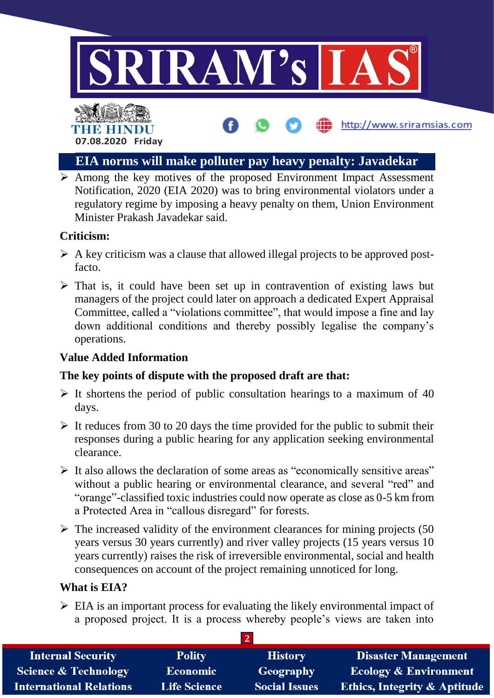



## **EIA norms will make polluter pay heavy penalty: Javadekar**

 $\triangleright$  Among the key motives of the proposed Environment Impact Assessment Notification, 2020 (EIA 2020) was to bring environmental violators under a regulatory regime by imposing a heavy penalty on them, Union Environment Minister Prakash Javadekar said.

## **Criticism:**

- $\triangleright$  A key criticism was a clause that allowed illegal projects to be approved postfacto.
- $\triangleright$  That is, it could have been set up in contravention of existing laws but managers of the project could later on approach a dedicated Expert Appraisal Committee, called a "violations committee", that would impose a fine and lay down additional conditions and thereby possibly legalise the company's operations.

## **Value Added Information**

## **The key points of dispute with the proposed draft are that:**

- $\triangleright$  It shortens the period of public consultation hearings to a maximum of 40 days.
- $\triangleright$  It reduces from 30 to 20 days the time provided for the public to submit their responses during a public hearing for any application seeking environmental clearance.
- $\triangleright$  It also allows the declaration of some areas as "economically sensitive areas" without a public hearing or environmental clearance, and several "red" and "orange"-classified toxic industries could now operate as close as 0-5 km from a Protected Area in "callous disregard" for forests.
- $\triangleright$  The increased validity of the environment clearances for mining projects (50) years versus 30 years currently) and river valley projects (15 years versus 10 years currently) raises the risk of irreversible environmental, social and health consequences on account of the project remaining unnoticed for long.

## **What is EIA?**

 $\triangleright$  EIA is an important process for evaluating the likely environmental impact of a proposed project. It is a process whereby people's views are taken into

| <b>Internal Security</b>        | <b>Polity</b>       | <b>History</b>       | <b>Disaster Management</b>              |  |
|---------------------------------|---------------------|----------------------|-----------------------------------------|--|
| <b>Science &amp; Technology</b> | <b>Economic</b>     | Geography            | <b>Ecology &amp; Environment</b>        |  |
| <b>International Relations</b>  | <b>Life Science</b> | <b>Social Issues</b> | <b>Ethics, Integrity &amp; Aptitude</b> |  |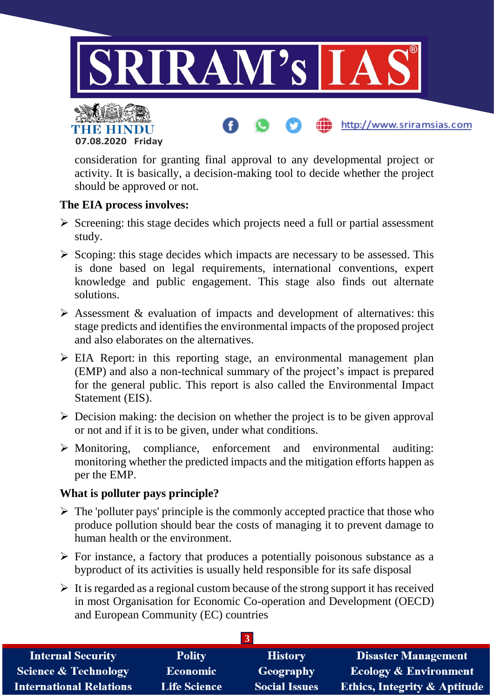

consideration for granting final approval to any developmental project or activity. It is basically, a decision-making tool to decide whether the project should be approved or not.

### **The EIA process involves:**

**07.08.2020 Friday**

- $\triangleright$  Screening: this stage decides which projects need a full or partial assessment study.
- $\triangleright$  Scoping: this stage decides which impacts are necessary to be assessed. This is done based on legal requirements, international conventions, expert knowledge and public engagement. This stage also finds out alternate solutions.
- $\triangleright$  Assessment & evaluation of impacts and development of alternatives: this stage predicts and identifies the environmental impacts of the proposed project and also elaborates on the alternatives.
- $\triangleright$  EIA Report: in this reporting stage, an environmental management plan (EMP) and also a non-technical summary of the project's impact is prepared for the general public. This report is also called the Environmental Impact Statement (EIS).
- $\triangleright$  Decision making: the decision on whether the project is to be given approval or not and if it is to be given, under what conditions.
- $\triangleright$  Monitoring, compliance, enforcement and environmental auditing: monitoring whether the predicted impacts and the mitigation efforts happen as per the EMP.

### **What is polluter pays principle?**

- $\triangleright$  The 'polluter pays' principle is the commonly accepted practice that those who produce pollution should bear the costs of managing it to prevent damage to human health or the environment.
- $\triangleright$  For instance, a factory that produces a potentially poisonous substance as a byproduct of its activities is usually held responsible for its safe disposal
- $\triangleright$  It is regarded as a regional custom because of the strong support it has received in most Organisation for Economic Co-operation and Development (OECD) and European Community (EC) countries

| <b>Internal Security</b>        | <b>Polity</b>       | <b>History</b>       | <b>Disaster Management</b>              |
|---------------------------------|---------------------|----------------------|-----------------------------------------|
| <b>Science &amp; Technology</b> | <b>Economic</b>     | Geography            | Ecology & Environment                   |
| <b>International Relations</b>  | <b>Life Science</b> | <b>Social Issues</b> | <b>Ethics, Integrity &amp; Aptitude</b> |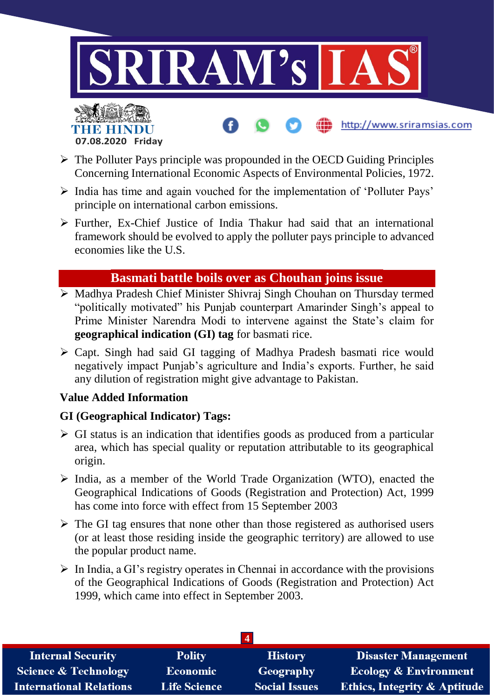



- $\triangleright$  The Polluter Pays principle was propounded in the OECD Guiding Principles Concerning International Economic Aspects of Environmental Policies, 1972.
- $\triangleright$  India has time and again vouched for the implementation of 'Polluter Pays' principle on international carbon emissions.
- $\triangleright$  Further, Ex-Chief Justice of India Thakur had said that an international framework should be evolved to apply the polluter pays principle to advanced economies like the U.S.

## **Basmati battle boils over as Chouhan joins issue**

- Madhya Pradesh Chief Minister Shivraj Singh Chouhan on Thursday termed "politically motivated" his Punjab counterpart Amarinder Singh's appeal to Prime Minister Narendra Modi to intervene against the State's claim for **geographical indication (GI) tag** for basmati rice.
- Capt. Singh had said GI tagging of Madhya Pradesh basmati rice would negatively impact Punjab's agriculture and India's exports. Further, he said any dilution of registration might give advantage to Pakistan.

## **Value Added Information**

## **GI (Geographical Indicator) Tags:**

- $\triangleright$  GI status is an indication that identifies goods as produced from a particular area, which has special quality or reputation attributable to its geographical origin.
- $\triangleright$  India, as a member of the World Trade Organization (WTO), enacted the Geographical Indications of Goods (Registration and Protection) Act, 1999 has come into force with effect from 15 September 2003
- $\triangleright$  The GI tag ensures that none other than those registered as authorised users (or at least those residing inside the geographic territory) are allowed to use the popular product name.
- $\triangleright$  In India, a GI's registry operates in Chennai in accordance with the provisions of the Geographical Indications of Goods (Registration and Protection) Act 1999, which came into effect in September 2003.

| <b>Internal Security</b>        | <b>Polity</b>       | <b>History</b>       | <b>Disaster Management</b>              |  |
|---------------------------------|---------------------|----------------------|-----------------------------------------|--|
| <b>Science &amp; Technology</b> | <b>Economic</b>     | Geography            | <b>Ecology &amp; Environment</b>        |  |
| <b>International Relations</b>  | <b>Life Science</b> | <b>Social Issues</b> | <b>Ethics, Integrity &amp; Aptitude</b> |  |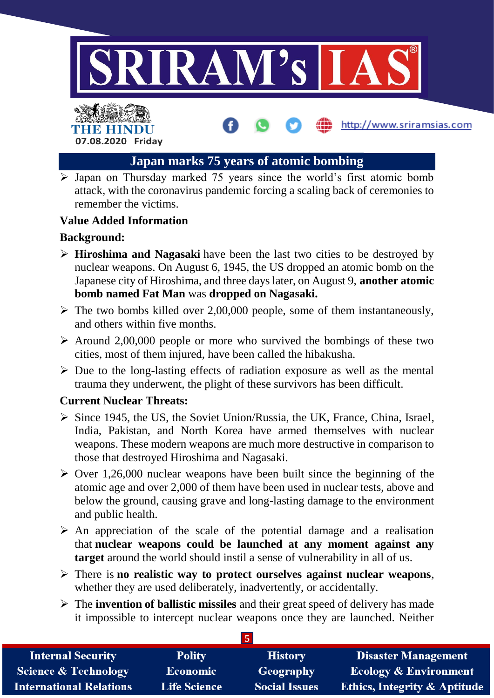

## **Japan marks 75 years of atomic bombing**

 $\overline{\triangleright}$  Japan on Thursday marked 75 years since the world's first atomic bomb attack, with the coronavirus pandemic forcing a scaling back of ceremonies to remember the victims.

### **Value Added Information**

**07.08.2020 Friday**

THE HINDL

### **Background:**

- **Hiroshima and Nagasaki** have been the last two cities to be destroyed by nuclear weapons. On August 6, 1945, the US dropped an atomic bomb on the Japanese city of Hiroshima, and three days later, on August 9, **another atomic bomb named Fat Man** was **dropped on Nagasaki.**
- $\triangleright$  The two bombs killed over 2,00,000 people, some of them instantaneously, and others within five months.
- $\triangleright$  Around 2,00,000 people or more who survived the bombings of these two cities, most of them injured, have been called the hibakusha.
- $\triangleright$  Due to the long-lasting effects of radiation exposure as well as the mental trauma they underwent, the plight of these survivors has been difficult.

### **Current Nuclear Threats:**

- $\triangleright$  Since 1945, the US, the Soviet Union/Russia, the UK, France, China, Israel, India, Pakistan, and North Korea have armed themselves with nuclear weapons. These modern weapons are much more destructive in comparison to those that destroyed Hiroshima and Nagasaki.
- $\triangleright$  Over 1,26,000 nuclear weapons have been built since the beginning of the atomic age and over 2,000 of them have been used in nuclear tests, above and below the ground, causing grave and long-lasting damage to the environment and public health.
- $\triangleright$  An appreciation of the scale of the potential damage and a realisation that **nuclear weapons could be launched at any moment against any target** around the world should instil a sense of vulnerability in all of us.
- There is **no realistic way to protect ourselves against nuclear weapons**, whether they are used deliberately, inadvertently, or accidentally.
- The **invention of ballistic missiles** and their great speed of delivery has made it impossible to intercept nuclear weapons once they are launched. Neither

| <b>Internal Security</b>        | <b>Polity</b>       | <b>History</b>       | <b>Disaster Management</b>              |  |
|---------------------------------|---------------------|----------------------|-----------------------------------------|--|
| <b>Science &amp; Technology</b> | <b>Economic</b>     | Geography            | <b>Ecology &amp; Environment</b>        |  |
| <b>International Relations</b>  | <b>Life Science</b> | <b>Social Issues</b> | <b>Ethics, Integrity &amp; Aptitude</b> |  |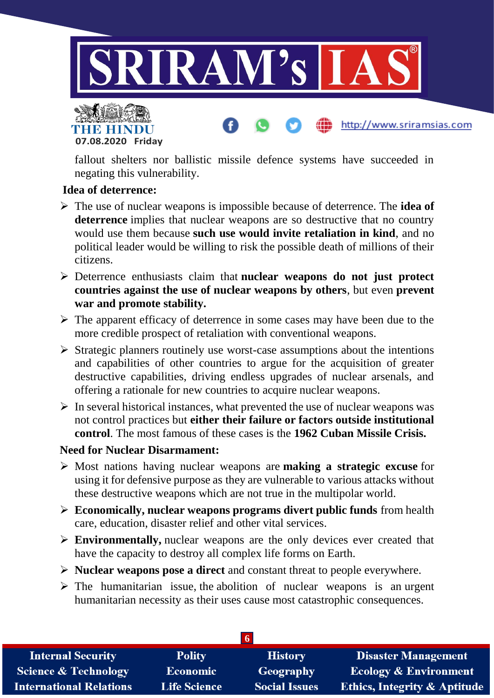



fallout shelters nor ballistic missile defence systems have succeeded in negating this vulnerability.

### **Idea of deterrence:**

- The use of nuclear weapons is impossible because of deterrence. The **idea of deterrence** implies that nuclear weapons are so destructive that no country would use them because **such use would invite retaliation in kind**, and no political leader would be willing to risk the possible death of millions of their citizens.
- Deterrence enthusiasts claim that **nuclear weapons do not just protect countries against the use of nuclear weapons by others**, but even **prevent war and promote stability.**
- $\triangleright$  The apparent efficacy of deterrence in some cases may have been due to the more credible prospect of retaliation with conventional weapons.
- $\triangleright$  Strategic planners routinely use worst-case assumptions about the intentions and capabilities of other countries to argue for the acquisition of greater destructive capabilities, driving endless upgrades of nuclear arsenals, and offering a rationale for new countries to acquire nuclear weapons.
- $\triangleright$  In several historical instances, what prevented the use of nuclear weapons was not control practices but **either their failure or factors outside institutional control**. The most famous of these cases is the **1962 Cuban Missile Crisis.**

### **Need for Nuclear Disarmament:**

- Most nations having nuclear weapons are **making a strategic excuse** for using it for defensive purpose as they are vulnerable to various attacks without these destructive weapons which are not true in the multipolar world.
- **Economically, nuclear weapons programs divert public funds** from health care, education, disaster relief and other vital services.
- **Environmentally,** nuclear weapons are the only devices ever created that have the capacity to destroy all complex life forms on Earth.
- **Nuclear weapons pose a direct** and constant threat to people everywhere.
- $\triangleright$  The humanitarian issue, the abolition of nuclear weapons is an urgent humanitarian necessity as their uses cause most catastrophic consequences.

| <b>Internal Security</b>        | <b>Polity</b>       | <b>History</b>       | <b>Disaster Management</b>              |
|---------------------------------|---------------------|----------------------|-----------------------------------------|
| <b>Science &amp; Technology</b> | <b>Economic</b>     | Geography            | <b>Ecology &amp; Environment</b>        |
| <b>International Relations</b>  | <b>Life Science</b> | <b>Social Issues</b> | <b>Ethics, Integrity &amp; Aptitude</b> |